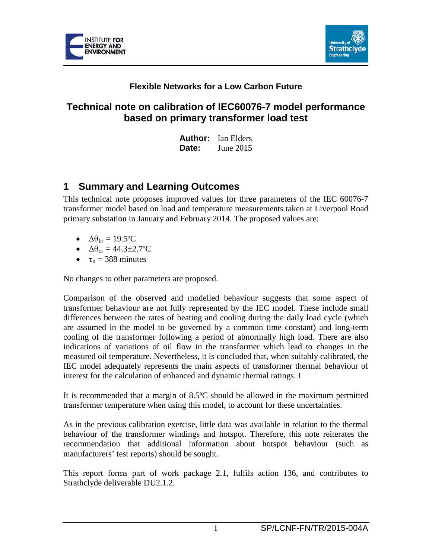



### **Flexible Networks for a Low Carbon Future**

## **Technical note on calibration of IEC60076-7 model performance based on primary transformer load test**

**Author:** Ian Elders **Date:** June 2015

## **1 Summary and Learning Outcomes**

This technical note proposes improved values for three parameters of the IEC 60076-7 transformer model based on load and temperature measurements taken at Liverpool Road primary substation in January and February 2014. The proposed values are:

- $\Delta\theta_{\rm hr} = 19.5$ °C
- $\Delta\theta_{\rm or} = 44.3 \pm 2.7$ °C
- $\tau_0 = 388$  minutes

No changes to other parameters are proposed.

Comparison of the observed and modelled behaviour suggests that some aspect of transformer behaviour are not fully represented by the IEC model. These include small differences between the rates of heating and cooling during the daily load cycle (which are assumed in the model to be governed by a common time constant) and long-term cooling of the transformer following a period of abnormally high load. There are also indications of variations of oil flow in the transformer which lead to changes in the measured oil temperature. Nevertheless, it is concluded that, when suitably calibrated, the IEC model adequately represents the main aspects of transformer thermal behaviour of interest for the calculation of enhanced and dynamic thermal ratings. I

It is recommended that a margin of 8.5ºC should be allowed in the maximum permitted transformer temperature when using this model, to account for these uncertainties.

As in the previous calibration exercise, little data was available in relation to the thermal behaviour of the transformer windings and hotspot. Therefore, this note reiterates the recommendation that additional information about hotspot behaviour (such as manufacturers' test reports) should be sought.

This report forms part of work package 2.1, fulfils action 136, and contributes to Strathclyde deliverable DU2.1.2.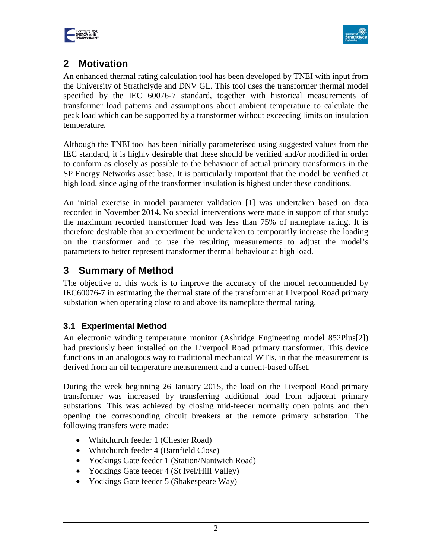



# **2 Motivation**

An enhanced thermal rating calculation tool has been developed by TNEI with input from the University of Strathclyde and DNV GL. This tool uses the transformer thermal model specified by the IEC 60076-7 standard, together with historical measurements of transformer load patterns and assumptions about ambient temperature to calculate the peak load which can be supported by a transformer without exceeding limits on insulation temperature.

Although the TNEI tool has been initially parameterised using suggested values from the IEC standard, it is highly desirable that these should be verified and/or modified in order to conform as closely as possible to the behaviour of actual primary transformers in the SP Energy Networks asset base. It is particularly important that the model be verified at high load, since aging of the transformer insulation is highest under these conditions.

An initial exercise in model parameter validation [1] was undertaken based on data recorded in November 2014. No special interventions were made in support of that study: the maximum recorded transformer load was less than 75% of nameplate rating. It is therefore desirable that an experiment be undertaken to temporarily increase the loading on the transformer and to use the resulting measurements to adjust the model's parameters to better represent transformer thermal behaviour at high load.

# **3 Summary of Method**

The objective of this work is to improve the accuracy of the model recommended by IEC60076-7 in estimating the thermal state of the transformer at Liverpool Road primary substation when operating close to and above its nameplate thermal rating.

### <span id="page-1-0"></span>**3.1 Experimental Method**

An electronic winding temperature monitor (Ashridge Engineering model 852Plus[2]) had previously been installed on the Liverpool Road primary transformer. This device functions in an analogous way to traditional mechanical WTIs, in that the measurement is derived from an oil temperature measurement and a current-based offset.

During the week beginning 26 January 2015, the load on the Liverpool Road primary transformer was increased by transferring additional load from adjacent primary substations. This was achieved by closing mid-feeder normally open points and then opening the corresponding circuit breakers at the remote primary substation. The following transfers were made:

- Whitchurch feeder 1 (Chester Road)
- Whitchurch feeder 4 (Barnfield Close)
- Yockings Gate feeder 1 (Station/Nantwich Road)
- Yockings Gate feeder 4 (St Ivel/Hill Valley)
- Yockings Gate feeder 5 (Shakespeare Way)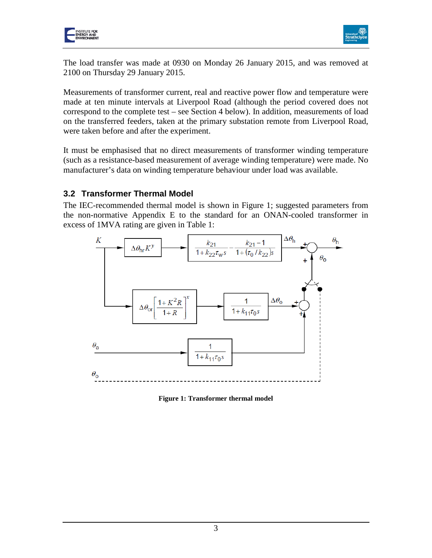



The load transfer was made at 0930 on Monday 26 January 2015, and was removed at 2100 on Thursday 29 January 2015.

Measurements of transformer current, real and reactive power flow and temperature were made at ten minute intervals at Liverpool Road (although the period covered does not correspond to the complete test – see Section [4](#page-5-0) below). In addition, measurements of load on the transferred feeders, taken at the primary substation remote from Liverpool Road, were taken before and after the experiment.

It must be emphasised that no direct measurements of transformer winding temperature (such as a resistance-based measurement of average winding temperature) were made. No manufacturer's data on winding temperature behaviour under load was available.

#### **3.2 Transformer Thermal Model**

The IEC-recommended thermal model is shown in [Figure 1;](#page-2-0) suggested parameters from the non-normative Appendix E to the standard for an ONAN-cooled transformer in excess of 1MVA rating are given in [Table 1:](#page-3-0)



<span id="page-2-0"></span>**Figure 1: Transformer thermal model**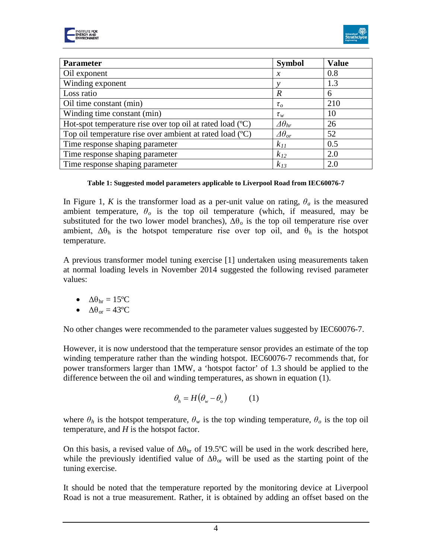



| <b>Parameter</b>                                          | <b>Symbol</b>          | <b>Value</b> |
|-----------------------------------------------------------|------------------------|--------------|
| Oil exponent                                              | $\mathcal{X}$          | 0.8          |
| Winding exponent                                          |                        | 1.3          |
| Loss ratio                                                | R                      | 6            |
| Oil time constant (min)                                   | $\tau_{o}$             | 210          |
| Winding time constant (min)                               | $\tau_w$               | 10           |
| Hot-spot temperature rise over top oil at rated load (°C) | $\varDelta\theta_{hr}$ | 26           |
| Top oil temperature rise over ambient at rated load (°C)  | $\varDelta\theta_{or}$ | 52           |
| Time response shaping parameter                           | $k_{II}$               | 0.5          |
| Time response shaping parameter                           | $k_{12}$               | 2.0          |
| Time response shaping parameter                           | $k_{13}$               | 2.0          |

#### **Table 1: Suggested model parameters applicable to Liverpool Road from IEC60076-7**

<span id="page-3-0"></span>In [Figure 1,](#page-2-0) *K* is the transformer load as a per-unit value on rating,  $\theta_a$  is the measured ambient temperature,  $\theta_o$  is the top oil temperature (which, if measured, may be substituted for the two lower model branches),  $\Delta\theta_0$  is the top oil temperature rise over ambient,  $\Delta\theta_h$  is the hotspot temperature rise over top oil, and  $\theta_h$  is the hotspot temperature.

A previous transformer model tuning exercise [1] undertaken using measurements taken at normal loading levels in November 2014 suggested the following revised parameter values:

- $\Delta\theta_{\rm hr} = 15^{\circ}\text{C}$
- $\Delta\theta_{\rm or} = 43^{\circ}\rm C$

No other changes were recommended to the parameter values suggested by IEC60076-7.

However, it is now understood that the temperature sensor provides an estimate of the top winding temperature rather than the winding hotspot. IEC60076-7 recommends that, for power transformers larger than 1MW, a 'hotspot factor' of 1.3 should be applied to the difference between the oil and winding temperatures, as shown in equation (1).

$$
\theta_h = H(\theta_w - \theta_o) \tag{1}
$$

where  $\theta_h$  is the hotspot temperature,  $\theta_w$  is the top winding temperature,  $\theta_o$  is the top oil temperature, and *H* is the hotspot factor.

On this basis, a revised value of  $\Delta\theta_{hr}$  of 19.5°C will be used in the work described here, while the previously identified value of  $\Delta\theta_{\text{or}}$  will be used as the starting point of the tuning exercise.

It should be noted that the temperature reported by the monitoring device at Liverpool Road is not a true measurement. Rather, it is obtained by adding an offset based on the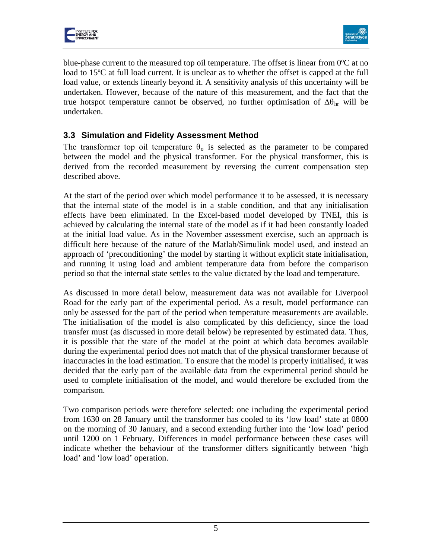



blue-phase current to the measured top oil temperature. The offset is linear from 0ºC at no load to 15<sup>o</sup>C at full load current. It is unclear as to whether the offset is capped at the full load value, or extends linearly beyond it. A sensitivity analysis of this uncertainty will be undertaken. However, because of the nature of this measurement, and the fact that the true hotspot temperature cannot be observed, no further optimisation of  $\Delta\theta_{hr}$  will be undertaken.

### **3.3 Simulation and Fidelity Assessment Method**

The transformer top oil temperature  $\theta_0$  is selected as the parameter to be compared between the model and the physical transformer. For the physical transformer, this is derived from the recorded measurement by reversing the current compensation step described above.

At the start of the period over which model performance it to be assessed, it is necessary that the internal state of the model is in a stable condition, and that any initialisation effects have been eliminated. In the Excel-based model developed by TNEI, this is achieved by calculating the internal state of the model as if it had been constantly loaded at the initial load value. As in the November assessment exercise, such an approach is difficult here because of the nature of the Matlab/Simulink model used, and instead an approach of 'preconditioning' the model by starting it without explicit state initialisation, and running it using load and ambient temperature data from before the comparison period so that the internal state settles to the value dictated by the load and temperature.

As discussed in more detail below, measurement data was not available for Liverpool Road for the early part of the experimental period. As a result, model performance can only be assessed for the part of the period when temperature measurements are available. The initialisation of the model is also complicated by this deficiency, since the load transfer must (as discussed in more detail below) be represented by estimated data. Thus, it is possible that the state of the model at the point at which data becomes available during the experimental period does not match that of the physical transformer because of inaccuracies in the load estimation. To ensure that the model is properly initialised, it was decided that the early part of the available data from the experimental period should be used to complete initialisation of the model, and would therefore be excluded from the comparison.

Two comparison periods were therefore selected: one including the experimental period from 1630 on 28 January until the transformer has cooled to its 'low load' state at 0800 on the morning of 30 January, and a second extending further into the 'low load' period until 1200 on 1 February. Differences in model performance between these cases will indicate whether the behaviour of the transformer differs significantly between 'high load' and 'low load' operation.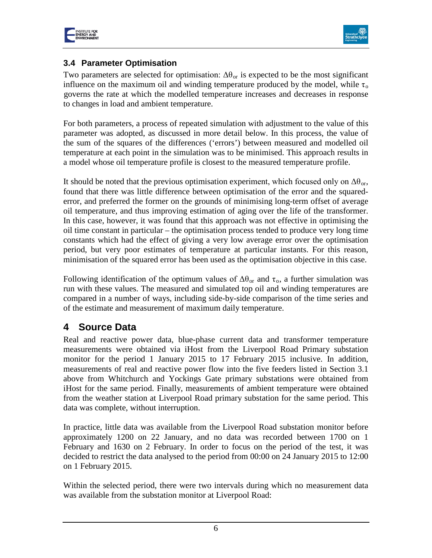



### **3.4 Parameter Optimisation**

Two parameters are selected for optimisation:  $\Delta\theta_{or}$  is expected to be the most significant influence on the maximum oil and winding temperature produced by the model, while  $\tau_0$ governs the rate at which the modelled temperature increases and decreases in response to changes in load and ambient temperature.

For both parameters, a process of repeated simulation with adjustment to the value of this parameter was adopted, as discussed in more detail below. In this process, the value of the sum of the squares of the differences ('errors') between measured and modelled oil temperature at each point in the simulation was to be minimised. This approach results in a model whose oil temperature profile is closest to the measured temperature profile.

It should be noted that the previous optimisation experiment, which focused only on  $\Delta\theta_{\rm or}$ , found that there was little difference between optimisation of the error and the squarederror, and preferred the former on the grounds of minimising long-term offset of average oil temperature, and thus improving estimation of aging over the life of the transformer. In this case, however, it was found that this approach was not effective in optimising the oil time constant in particular – the optimisation process tended to produce very long time constants which had the effect of giving a very low average error over the optimisation period, but very poor estimates of temperature at particular instants. For this reason, minimisation of the squared error has been used as the optimisation objective in this case.

Following identification of the optimum values of  $\Delta\theta_{\text{or}}$  and  $\tau_{\text{o}}$ , a further simulation was run with these values. The measured and simulated top oil and winding temperatures are compared in a number of ways, including side-by-side comparison of the time series and of the estimate and measurement of maximum daily temperature.

### <span id="page-5-0"></span>**4 Source Data**

Real and reactive power data, blue-phase current data and transformer temperature measurements were obtained via iHost from the Liverpool Road Primary substation monitor for the period 1 January 2015 to 17 February 2015 inclusive. In addition, measurements of real and reactive power flow into the five feeders listed in Section [3.1](#page-1-0) above from Whitchurch and Yockings Gate primary substations were obtained from iHost for the same period. Finally, measurements of ambient temperature were obtained from the weather station at Liverpool Road primary substation for the same period. This data was complete, without interruption.

In practice, little data was available from the Liverpool Road substation monitor before approximately 1200 on 22 January, and no data was recorded between 1700 on 1 February and 1630 on 2 February. In order to focus on the period of the test, it was decided to restrict the data analysed to the period from 00:00 on 24 January 2015 to 12:00 on 1 February 2015.

Within the selected period, there were two intervals during which no measurement data was available from the substation monitor at Liverpool Road: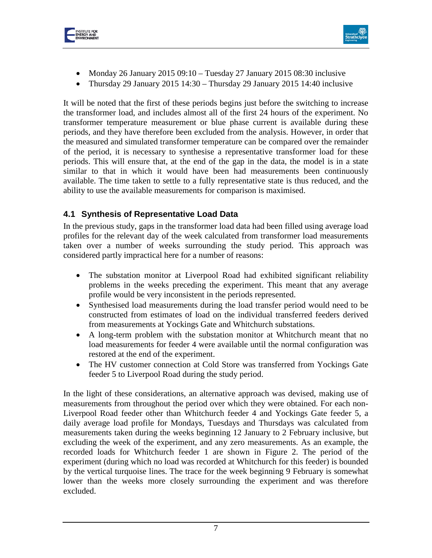



- Monday 26 January 2015 09:10 Tuesday 27 January 2015 08:30 inclusive
- Thursday 29 January 2015 14:30 Thursday 29 January 2015 14:40 inclusive

It will be noted that the first of these periods begins just before the switching to increase the transformer load, and includes almost all of the first 24 hours of the experiment. No transformer temperature measurement or blue phase current is available during these periods, and they have therefore been excluded from the analysis. However, in order that the measured and simulated transformer temperature can be compared over the remainder of the period, it is necessary to synthesise a representative transformer load for these periods. This will ensure that, at the end of the gap in the data, the model is in a state similar to that in which it would have been had measurements been continuously available. The time taken to settle to a fully representative state is thus reduced, and the ability to use the available measurements for comparison is maximised.

### **4.1 Synthesis of Representative Load Data**

In the previous study, gaps in the transformer load data had been filled using average load profiles for the relevant day of the week calculated from transformer load measurements taken over a number of weeks surrounding the study period. This approach was considered partly impractical here for a number of reasons:

- The substation monitor at Liverpool Road had exhibited significant reliability problems in the weeks preceding the experiment. This meant that any average profile would be very inconsistent in the periods represented.
- Synthesised load measurements during the load transfer period would need to be constructed from estimates of load on the individual transferred feeders derived from measurements at Yockings Gate and Whitchurch substations.
- A long-term problem with the substation monitor at Whitchurch meant that no load measurements for feeder 4 were available until the normal configuration was restored at the end of the experiment.
- The HV customer connection at Cold Store was transferred from Yockings Gate feeder 5 to Liverpool Road during the study period.

In the light of these considerations, an alternative approach was devised, making use of measurements from throughout the period over which they were obtained. For each non-Liverpool Road feeder other than Whitchurch feeder 4 and Yockings Gate feeder 5, a daily average load profile for Mondays, Tuesdays and Thursdays was calculated from measurements taken during the weeks beginning 12 January to 2 February inclusive, but excluding the week of the experiment, and any zero measurements. As an example, the recorded loads for Whitchurch feeder 1 are shown in [Figure 2.](#page-7-0) The period of the experiment (during which no load was recorded at Whitchurch for this feeder) is bounded by the vertical turquoise lines. The trace for the week beginning 9 February is somewhat lower than the weeks more closely surrounding the experiment and was therefore excluded.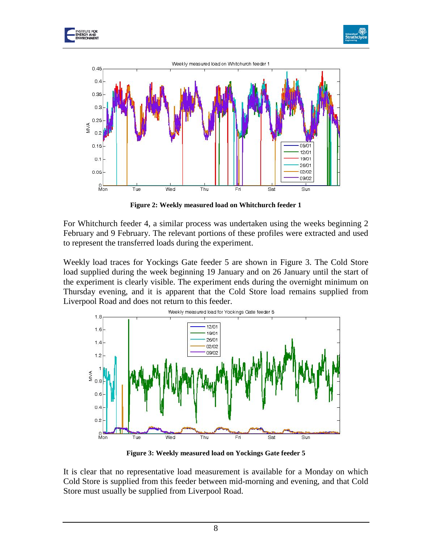





**Figure 2: Weekly measured load on Whitchurch feeder 1**

<span id="page-7-0"></span>For Whitchurch feeder 4, a similar process was undertaken using the weeks beginning 2 February and 9 February. The relevant portions of these profiles were extracted and used to represent the transferred loads during the experiment.

Weekly load traces for Yockings Gate feeder 5 are shown in [Figure 3.](#page-7-1) The Cold Store load supplied during the week beginning 19 January and on 26 January until the start of the experiment is clearly visible. The experiment ends during the overnight minimum on Thursday evening, and it is apparent that the Cold Store load remains supplied from Liverpool Road and does not return to this feeder.



**Figure 3: Weekly measured load on Yockings Gate feeder 5**

<span id="page-7-1"></span>It is clear that no representative load measurement is available for a Monday on which Cold Store is supplied from this feeder between mid-morning and evening, and that Cold Store must usually be supplied from Liverpool Road.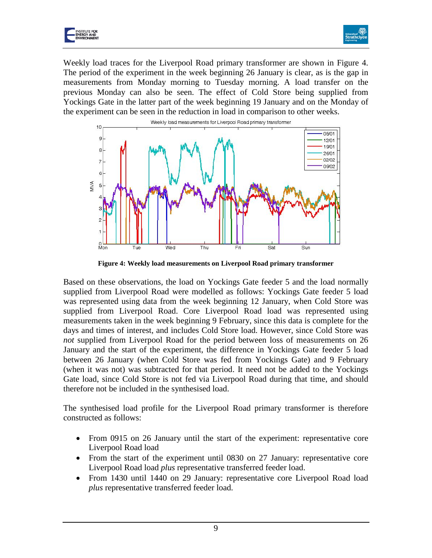



Weekly load traces for the Liverpool Road primary transformer are shown in [Figure 4.](#page-8-0) The period of the experiment in the week beginning 26 January is clear, as is the gap in measurements from Monday morning to Tuesday morning. A load transfer on the previous Monday can also be seen. The effect of Cold Store being supplied from Yockings Gate in the latter part of the week beginning 19 January and on the Monday of the experiment can be seen in the reduction in load in comparison to other weeks.



**Figure 4: Weekly load measurements on Liverpool Road primary transformer**

<span id="page-8-0"></span>Based on these observations, the load on Yockings Gate feeder 5 and the load normally supplied from Liverpool Road were modelled as follows: Yockings Gate feeder 5 load was represented using data from the week beginning 12 January, when Cold Store was supplied from Liverpool Road. Core Liverpool Road load was represented using measurements taken in the week beginning 9 February, since this data is complete for the days and times of interest, and includes Cold Store load. However, since Cold Store was *not* supplied from Liverpool Road for the period between loss of measurements on 26 January and the start of the experiment, the difference in Yockings Gate feeder 5 load between 26 January (when Cold Store was fed from Yockings Gate) and 9 February (when it was not) was subtracted for that period. It need not be added to the Yockings Gate load, since Cold Store is not fed via Liverpool Road during that time, and should therefore not be included in the synthesised load.

The synthesised load profile for the Liverpool Road primary transformer is therefore constructed as follows:

- From 0915 on 26 January until the start of the experiment: representative core Liverpool Road load
- From the start of the experiment until 0830 on 27 January: representative core Liverpool Road load *plus* representative transferred feeder load.
- From 1430 until 1440 on 29 January: representative core Liverpool Road load *plus* representative transferred feeder load.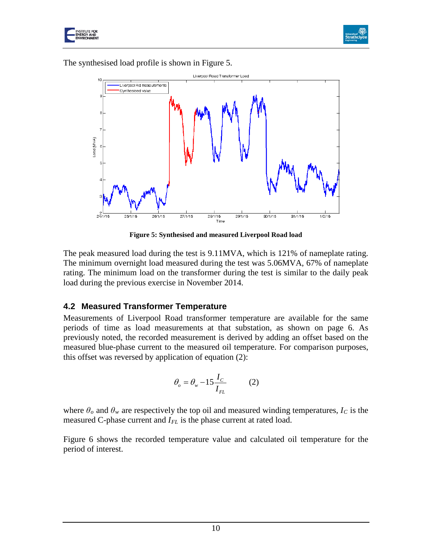



The synthesised load profile is shown in [Figure 5.](#page-9-0)



**Figure 5: Synthesised and measured Liverpool Road load**

<span id="page-9-0"></span>The peak measured load during the test is 9.11MVA, which is 121% of nameplate rating. The minimum overnight load measured during the test was 5.06MVA, 67% of nameplate rating. The minimum load on the transformer during the test is similar to the daily peak load during the previous exercise in November 2014.

### **4.2 Measured Transformer Temperature**

Measurements of Liverpool Road transformer temperature are available for the same periods of time as load measurements at that substation, as shown on page 6. As previously noted, the recorded measurement is derived by adding an offset based on the measured blue-phase current to the measured oil temperature. For comparison purposes, this offset was reversed by application of equation (2):

$$
\theta_o = \theta_w - 15 \frac{I_C}{I_{FL}} \tag{2}
$$

where  $\theta_o$  and  $\theta_w$  are respectively the top oil and measured winding temperatures,  $I_c$  is the measured C-phase current and *I<sub>FL</sub>* is the phase current at rated load.

Figure 6 shows the recorded temperature value and calculated oil temperature for the period of interest.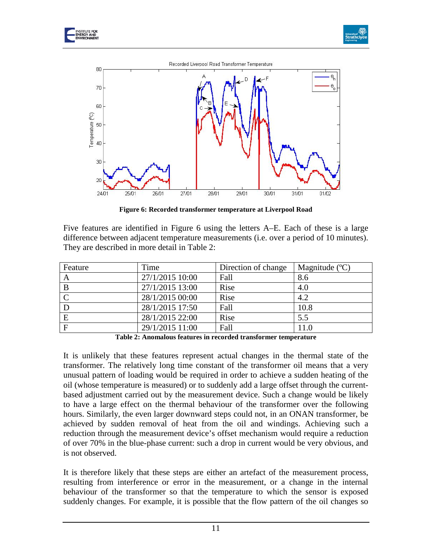





**Figure 6: Recorded transformer temperature at Liverpool Road**

Five features are identified in Figure 6 using the letters A–E. Each of these is a large difference between adjacent temperature measurements (i.e. over a period of 10 minutes). They are described in more detail in Table 2:

| Feature      | Time            | Direction of change | Magnitude $(C)$ |
|--------------|-----------------|---------------------|-----------------|
| A            | 27/1/2015 10:00 | Fall                | 8.6             |
| B            | 27/1/2015 13:00 | Rise                | 4.0             |
|              | 28/1/2015 00:00 | Rise                | 4.2             |
| D            | 28/1/2015 17:50 | Fall                | 10.8            |
| E            | 28/1/2015 22:00 | Rise                | 5.5             |
| $\mathbf{F}$ | 29/1/2015 11:00 | Fall                | 11.0            |

**Table 2: Anomalous features in recorded transformer temperature**

<span id="page-10-0"></span>It is unlikely that these features represent actual changes in the thermal state of the transformer. The relatively long time constant of the transformer oil means that a very unusual pattern of loading would be required in order to achieve a sudden heating of the oil (whose temperature is measured) or to suddenly add a large offset through the currentbased adjustment carried out by the measurement device. Such a change would be likely to have a large effect on the thermal behaviour of the transformer over the following hours. Similarly, the even larger downward steps could not, in an ONAN transformer, be achieved by sudden removal of heat from the oil and windings. Achieving such a reduction through the measurement device's offset mechanism would require a reduction of over 70% in the blue-phase current: such a drop in current would be very obvious, and is not observed.

It is therefore likely that these steps are either an artefact of the measurement process, resulting from interference or error in the measurement, or a change in the internal behaviour of the transformer so that the temperature to which the sensor is exposed suddenly changes. For example, it is possible that the flow pattern of the oil changes so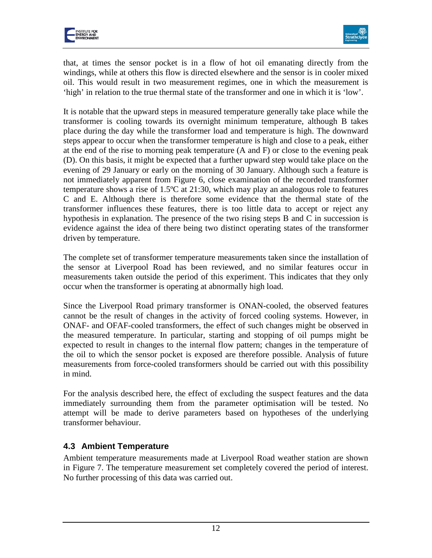



that, at times the sensor pocket is in a flow of hot oil emanating directly from the windings, while at others this flow is directed elsewhere and the sensor is in cooler mixed oil. This would result in two measurement regimes, one in which the measurement is 'high' in relation to the true thermal state of the transformer and one in which it is 'low'.

It is notable that the upward steps in measured temperature generally take place while the transformer is cooling towards its overnight minimum temperature, although B takes place during the day while the transformer load and temperature is high. The downward steps appear to occur when the transformer temperature is high and close to a peak, either at the end of the rise to morning peak temperature (A and F) or close to the evening peak (D). On this basis, it might be expected that a further upward step would take place on the evening of 29 January or early on the morning of 30 January. Although such a feature is not immediately apparent from Figure 6, close examination of the recorded transformer temperature shows a rise of 1.5ºC at 21:30, which may play an analogous role to features C and E. Although there is therefore some evidence that the thermal state of the transformer influences these features, there is too little data to accept or reject any hypothesis in explanation. The presence of the two rising steps B and C in succession is evidence against the idea of there being two distinct operating states of the transformer driven by temperature.

The complete set of transformer temperature measurements taken since the installation of the sensor at Liverpool Road has been reviewed, and no similar features occur in measurements taken outside the period of this experiment. This indicates that they only occur when the transformer is operating at abnormally high load.

Since the Liverpool Road primary transformer is ONAN-cooled, the observed features cannot be the result of changes in the activity of forced cooling systems. However, in ONAF- and OFAF-cooled transformers, the effect of such changes might be observed in the measured temperature. In particular, starting and stopping of oil pumps might be expected to result in changes to the internal flow pattern; changes in the temperature of the oil to which the sensor pocket is exposed are therefore possible. Analysis of future measurements from force-cooled transformers should be carried out with this possibility in mind.

For the analysis described here, the effect of excluding the suspect features and the data immediately surrounding them from the parameter optimisation will be tested. No attempt will be made to derive parameters based on hypotheses of the underlying transformer behaviour.

### **4.3 Ambient Temperature**

Ambient temperature measurements made at Liverpool Road weather station are shown in Figure 7. The temperature measurement set completely covered the period of interest. No further processing of this data was carried out.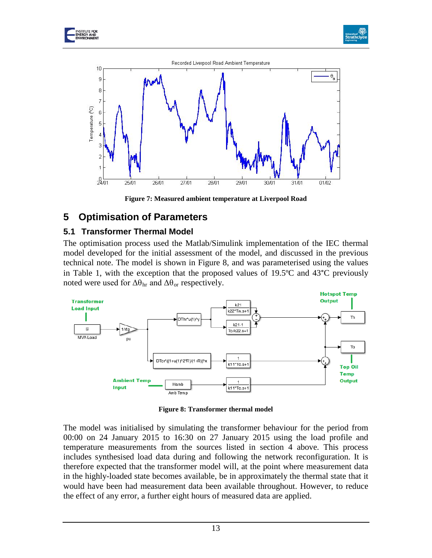





**Figure 7: Measured ambient temperature at Liverpool Road**

## <span id="page-12-1"></span>**5 Optimisation of Parameters**

#### **5.1 Transformer Thermal Model**

The optimisation process used the Matlab/Simulink implementation of the IEC thermal model developed for the initial assessment of the model, and discussed in the previous technical note. The model is shown in [Figure 8,](#page-12-0) and was parameterised using the values in [Table 1,](#page-3-0) with the exception that the proposed values of 19.5ºC and 43°C previously noted were used for  $\Delta\theta_{\rm hr}$  and  $\Delta\theta_{\rm or}$  respectively.



**Figure 8: Transformer thermal model**

<span id="page-12-0"></span>The model was initialised by simulating the transformer behaviour for the period from 00:00 on 24 January 2015 to 16:30 on 27 January 2015 using the load profile and temperature measurements from the sources listed in section [4](#page-5-0) above. This process includes synthesised load data during and following the network reconfiguration. It is therefore expected that the transformer model will, at the point where measurement data in the highly-loaded state becomes available, be in approximately the thermal state that it would have been had measurement data been available throughout. However, to reduce the effect of any error, a further eight hours of measured data are applied.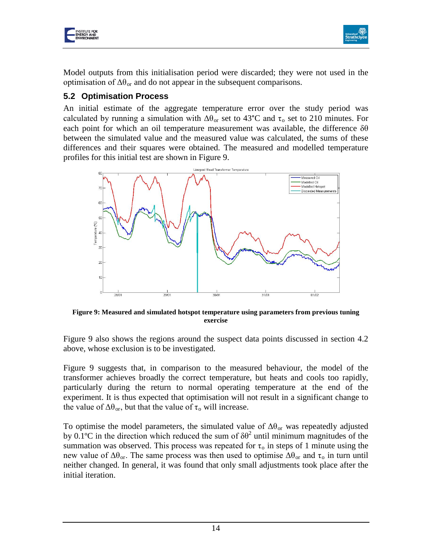



Model outputs from this initialisation period were discarded; they were not used in the optimisation of  $\Delta\theta_{\text{or}}$  and do not appear in the subsequent comparisons.

### **5.2 Optimisation Process**

An initial estimate of the aggregate temperature error over the study period was calculated by running a simulation with  $\Delta\theta_{or}$  set to 43°C and  $\tau_o$  set to 210 minutes. For each point for which an oil temperature measurement was available, the difference  $\delta\theta$ between the simulated value and the measured value was calculated, the sums of these differences and their squares were obtained. The measured and modelled temperature profiles for this initial test are shown in Figure 9.



**Figure 9: Measured and simulated hotspot temperature using parameters from previous tuning exercise**

Figure 9 also shows the regions around the suspect data points discussed in section 4.2 above, whose exclusion is to be investigated.

Figure 9 suggests that, in comparison to the measured behaviour, the model of the transformer achieves broadly the correct temperature, but heats and cools too rapidly, particularly during the return to normal operating temperature at the end of the experiment. It is thus expected that optimisation will not result in a significant change to the value of  $\Delta\theta_{\rm or}$ , but that the value of  $\tau_{\rm o}$  will increase.

To optimise the model parameters, the simulated value of  $\Delta\theta_{\text{or}}$  was repeatedly adjusted by 0.1<sup>o</sup>C in the direction which reduced the sum of  $\delta\theta^2$  until minimum magnitudes of the summation was observed. This process was repeated for  $\tau_0$  in steps of 1 minute using the new value of  $\Delta\theta_{\text{or}}$ . The same process was then used to optimise  $\Delta\theta_{\text{or}}$  and  $\tau_{\text{o}}$  in turn until neither changed. In general, it was found that only small adjustments took place after the initial iteration.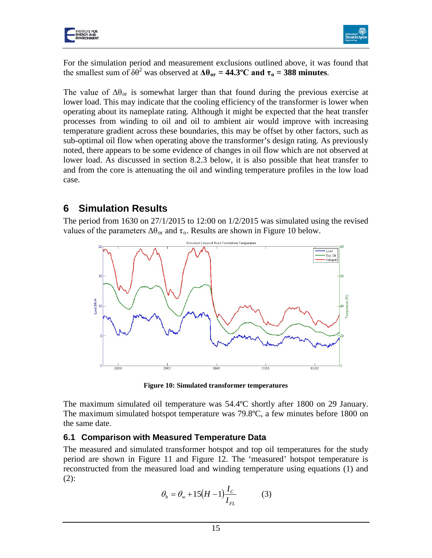



For the simulation period and measurement exclusions outlined above, it was found that the smallest sum of  $\delta\theta^2$  was observed at  $\Delta\theta_{\text{or}} = 44.3^{\circ}\text{C}$  and  $\tau_0 = 388$  minutes.

The value of  $\Delta\theta_{\text{or}}$  is somewhat larger than that found during the previous exercise at lower load. This may indicate that the cooling efficiency of the transformer is lower when operating about its nameplate rating. Although it might be expected that the heat transfer processes from winding to oil and oil to ambient air would improve with increasing temperature gradient across these boundaries, this may be offset by other factors, such as sub-optimal oil flow when operating above the transformer's design rating. As previously noted, there appears to be some evidence of changes in oil flow which are not observed at lower load. As discussed in section [8.2.3](#page-23-0) below, it is also possible that heat transfer to and from the core is attenuating the oil and winding temperature profiles in the low load case.

### **6 Simulation Results**

The period from 1630 on 27/1/2015 to 12:00 on 1/2/2015 was simulated using the revised values of the parameters  $\Delta\theta_{\text{or}}$  and  $\tau_{\text{o}}$ . Results are shown in [Figure 10](#page-14-0) below.



**Figure 10: Simulated transformer temperatures**

<span id="page-14-0"></span>The maximum simulated oil temperature was 54.4ºC shortly after 1800 on 29 January. The maximum simulated hotspot temperature was 79.8ºC, a few minutes before 1800 on the same date.

### **6.1 Comparison with Measured Temperature Data**

The measured and simulated transformer hotspot and top oil temperatures for the study period are shown in [Figure 11](#page-15-0) and [Figure 12.](#page-15-1) The 'measured' hotspot temperature is reconstructed from the measured load and winding temperature using equations (1) and (2):

$$
\theta_h = \theta_w + 15\left(H - 1\right)\frac{I_C}{I_{FL}}\tag{3}
$$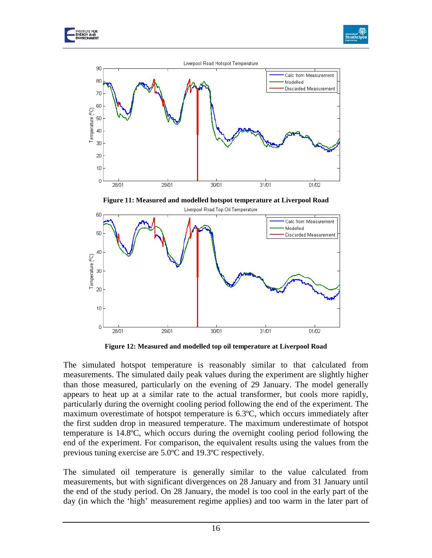



Liverpool Road Hotspot Temperature 90 Calc from Measurement 80 Modelled Discarded Measurement 70 60 Temperature (<sup>P</sup>C) 50 40 30 20 10  $\theta$ 28/01 29/01 30/01 31/01 01/02

**Figure 11: Measured and modelled hotspot temperature at Liverpool Road**

<span id="page-15-0"></span>

**Figure 12: Measured and modelled top oil temperature at Liverpool Road**

<span id="page-15-1"></span>The simulated hotspot temperature is reasonably similar to that calculated from measurements. The simulated daily peak values during the experiment are slightly higher than those measured, particularly on the evening of 29 January. The model generally appears to heat up at a similar rate to the actual transformer, but cools more rapidly, particularly during the overnight cooling period following the end of the experiment. The maximum overestimate of hotspot temperature is 6.3ºC, which occurs immediately after the first sudden drop in measured temperature. The maximum underestimate of hotspot temperature is 14.8ºC, which occurs during the overnight cooling period following the end of the experiment. For comparison, the equivalent results using the values from the previous tuning exercise are 5.0ºC and 19.3ºC respectively.

The simulated oil temperature is generally similar to the value calculated from measurements, but with significant divergences on 28 January and from 31 January until the end of the study period. On 28 January, the model is too cool in the early part of the day (in which the 'high' measurement regime applies) and too warm in the later part of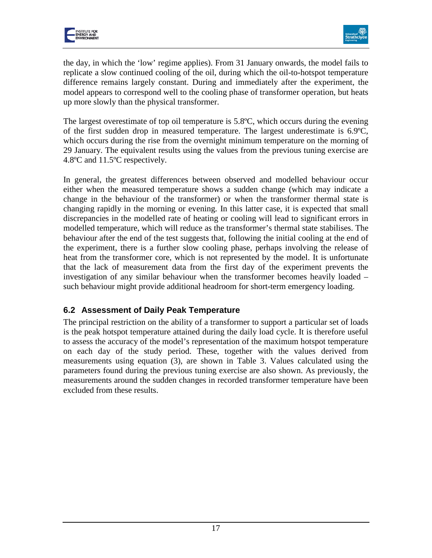



the day, in which the 'low' regime applies). From 31 January onwards, the model fails to replicate a slow continued cooling of the oil, during which the oil-to-hotspot temperature difference remains largely constant. During and immediately after the experiment, the model appears to correspond well to the cooling phase of transformer operation, but heats up more slowly than the physical transformer.

The largest overestimate of top oil temperature is 5.8ºC, which occurs during the evening of the first sudden drop in measured temperature. The largest underestimate is 6.9ºC, which occurs during the rise from the overnight minimum temperature on the morning of 29 January. The equivalent results using the values from the previous tuning exercise are 4.8ºC and 11.5ºC respectively.

In general, the greatest differences between observed and modelled behaviour occur either when the measured temperature shows a sudden change (which may indicate a change in the behaviour of the transformer) or when the transformer thermal state is changing rapidly in the morning or evening. In this latter case, it is expected that small discrepancies in the modelled rate of heating or cooling will lead to significant errors in modelled temperature, which will reduce as the transformer's thermal state stabilises. The behaviour after the end of the test suggests that, following the initial cooling at the end of the experiment, there is a further slow cooling phase, perhaps involving the release of heat from the transformer core, which is not represented by the model. It is unfortunate that the lack of measurement data from the first day of the experiment prevents the investigation of any similar behaviour when the transformer becomes heavily loaded – such behaviour might provide additional headroom for short-term emergency loading.

### **6.2 Assessment of Daily Peak Temperature**

The principal restriction on the ability of a transformer to support a particular set of loads is the peak hotspot temperature attained during the daily load cycle. It is therefore useful to assess the accuracy of the model's representation of the maximum hotspot temperature on each day of the study period. These, together with the values derived from measurements using equation (3), are shown in Table 3. Values calculated using the parameters found during the previous tuning exercise are also shown. As previously, the measurements around the sudden changes in recorded transformer temperature have been excluded from these results.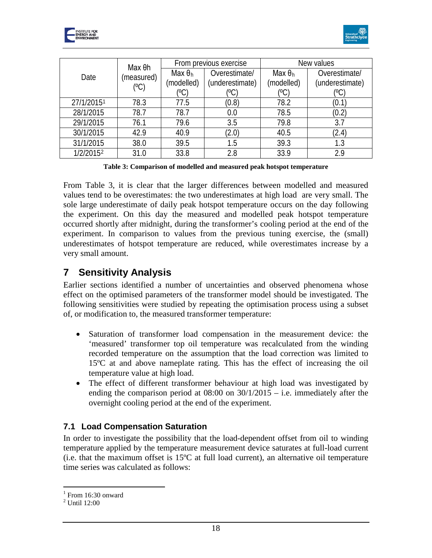



| Max <sub>θh</sub>     |            | From previous exercise |                 | New values |                 |
|-----------------------|------------|------------------------|-----------------|------------|-----------------|
| Date                  | (measured) | Max $\theta_h$         | Overestimate/   | Max θ $_h$ | Overestimate/   |
|                       | (°C)       | (modelled)             | (underestimate) | (modelled) | (underestimate) |
|                       |            | (°C)                   | (oC             | (°C)       | (°C)            |
| 27/1/20151            | 78.3       | 77.5                   | (0.8)           | 78.2       | (0.1)           |
| 28/1/2015             | 78.7       | 78.7                   | 0.0             | 78.5       | (0.2)           |
| 29/1/2015             | 76.1       | 79.6                   | 3.5             | 79.8       | 3.7             |
| 30/1/2015             | 42.9       | 40.9                   | (2.0)           | 40.5       | (2.4)           |
| 31/1/2015             | 38.0       | 39.5                   | 1.5             | 39.3       |                 |
| 1/2/2015 <sup>2</sup> | 31.0       | 33.8                   | 2.8             | 33.9       | 2.9             |

**Table 3: Comparison of modelled and measured peak hotspot temperature**

From Table 3, it is clear that the larger differences between modelled and measured values tend to be overestimates: the two underestimates at high load are very small. The sole large underestimate of daily peak hotspot temperature occurs on the day following the experiment. On this day the measured and modelled peak hotspot temperature occurred shortly after midnight, during the transformer's cooling period at the end of the experiment. In comparison to values from the previous tuning exercise, the (small) underestimates of hotspot temperature are reduced, while overestimates increase by a very small amount.

## **7 Sensitivity Analysis**

Earlier sections identified a number of uncertainties and observed phenomena whose effect on the optimised parameters of the transformer model should be investigated. The following sensitivities were studied by repeating the optimisation process using a subset of, or modification to, the measured transformer temperature:

- Saturation of transformer load compensation in the measurement device: the 'measured' transformer top oil temperature was recalculated from the winding recorded temperature on the assumption that the load correction was limited to 15ºC at and above nameplate rating. This has the effect of increasing the oil temperature value at high load.
- The effect of different transformer behaviour at high load was investigated by ending the comparison period at 08:00 on 30/1/2015 – i.e. immediately after the overnight cooling period at the end of the experiment.

### **7.1 Load Compensation Saturation**

In order to investigate the possibility that the load-dependent offset from oil to winding temperature applied by the temperature measurement device saturates at full-load current  $(i.e.$  that the maximum offset is 15 $\degree$ C at full load current), an alternative oil temperature time series was calculated as follows:

 $\overline{a}$ 

<span id="page-17-0"></span> $1$  From 16:30 onward

<span id="page-17-1"></span><sup>2</sup> Until 12:00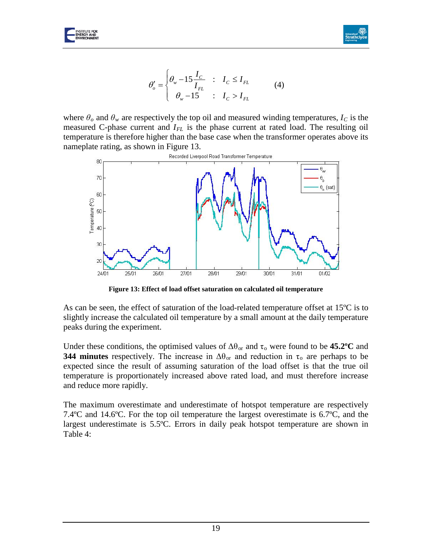



$$
\theta_o' = \begin{cases} \theta_w - 15 \frac{I_C}{I_{FL}} & \text{:} \quad I_C \le I_{FL} \\ \theta_w - 15 & \text{:} \quad I_C > I_{FL} \end{cases} \tag{4}
$$

where  $\theta_o$  and  $\theta_w$  are respectively the top oil and measured winding temperatures,  $I_c$  is the measured C-phase current and *I<sub>FL</sub>* is the phase current at rated load. The resulting oil temperature is therefore higher than the base case when the transformer operates above its nameplate rating, as shown in Figure 13.



**Figure 13: Effect of load offset saturation on calculated oil temperature**

As can be seen, the effect of saturation of the load-related temperature offset at  $15^{\circ}C$  is to slightly increase the calculated oil temperature by a small amount at the daily temperature peaks during the experiment.

Under these conditions, the optimised values of  $\Delta\theta_{or}$  and  $\tau_o$  were found to be **45.2°C** and **344 minutes** respectively. The increase in  $\Delta\theta_{or}$  and reduction in  $\tau_o$  are perhaps to be expected since the result of assuming saturation of the load offset is that the true oil temperature is proportionately increased above rated load, and must therefore increase and reduce more rapidly.

The maximum overestimate and underestimate of hotspot temperature are respectively 7.4ºC and 14.6ºC. For the top oil temperature the largest overestimate is 6.7ºC, and the largest underestimate is 5.5ºC. Errors in daily peak hotspot temperature are shown in Table 4: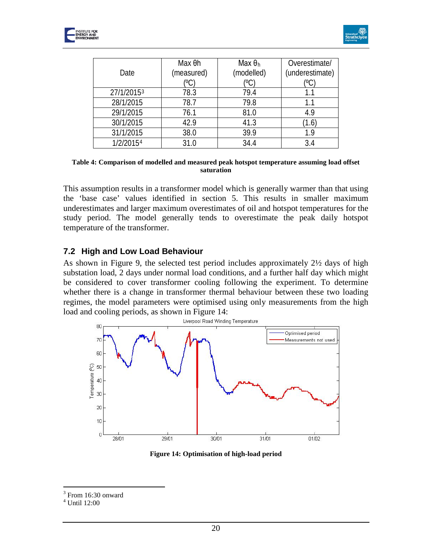



|            | Max Oh     | Max $\theta_h$ | Overestimate/   |
|------------|------------|----------------|-----------------|
| Date       | (measured) | (modelled)     | (underestimate) |
|            | (°C        | (°C)           |                 |
| 27/1/20153 | 78.3       | 79.4           | 1.1             |
| 28/1/2015  | 78.7       | 79.8           | 1.1             |
| 29/1/2015  | 76.1       | 81.0           | 4.9             |
| 30/1/2015  | 42.9       | 41.3           | 1.6             |
| 31/1/2015  | 38.0       | 39.9           | 19              |
| 1/2/20154  | 31.0       | 34.4           | 3.4             |

**Table 4: Comparison of modelled and measured peak hotspot temperature assuming load offset saturation**

This assumption results in a transformer model which is generally warmer than that using the 'base case' values identified in section 5. This results in smaller maximum underestimates and larger maximum overestimates of oil and hotspot temperatures for the study period. The model generally tends to overestimate the peak daily hotspot temperature of the transformer.

#### **7.2 High and Low Load Behaviour**

As shown in Figure 9, the selected test period includes approximately 2½ days of high substation load, 2 days under normal load conditions, and a further half day which might be considered to cover transformer cooling following the experiment. To determine whether there is a change in transformer thermal behaviour between these two loading regimes, the model parameters were optimised using only measurements from the high load and cooling periods, as shown in Figure 14:



**Figure 14: Optimisation of high-load period**

 $3$  From 16:30 onward  $\overline{a}$ 

<span id="page-19-1"></span><span id="page-19-0"></span><sup>4</sup> Until 12:00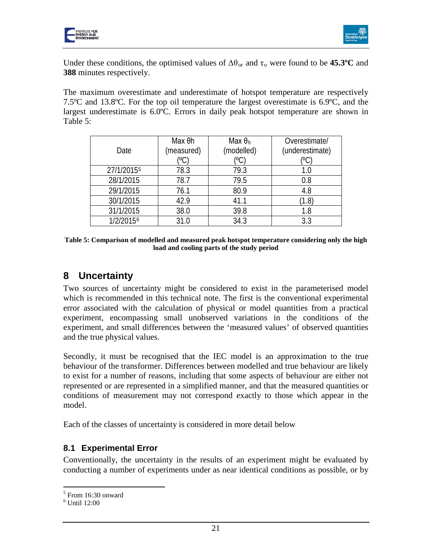



Under these conditions, the optimised values of  $\Delta\theta_{\text{or}}$  and  $\tau_{\text{o}}$  were found to be **45.3°C** and **388** minutes respectively.

The maximum overestimate and underestimate of hotspot temperature are respectively 7.5ºC and 13.8ºC. For the top oil temperature the largest overestimate is 6.9ºC, and the largest underestimate is 6.0ºC. Errors in daily peak hotspot temperature are shown in Table 5:

| Date       | Max <sub>θh</sub><br>(measured)<br>(°C | Max $\theta_h$<br>(modelled)<br>(°C) | Overestimate/<br>(underestimate)<br>(°C |
|------------|----------------------------------------|--------------------------------------|-----------------------------------------|
| 27/1/20155 | 78.3                                   | 79.3                                 | 1.0                                     |
| 28/1/2015  | 78.7                                   | 79.5                                 | 0.8                                     |
| 29/1/2015  | 76.1                                   | 80.9                                 | 4.8                                     |
| 30/1/2015  | 42.9                                   | 41.1                                 | (1.8)                                   |
| 31/1/2015  | 38.0                                   | 39.8                                 | 1.8                                     |
| 1/2/20156  | 31 O                                   | 34.3                                 | 3.3                                     |

**Table 5: Comparison of modelled and measured peak hotspot temperature considering only the high load and cooling parts of the study period**

# **8 Uncertainty**

Two sources of uncertainty might be considered to exist in the parameterised model which is recommended in this technical note. The first is the conventional experimental error associated with the calculation of physical or model quantities from a practical experiment, encompassing small unobserved variations in the conditions of the experiment, and small differences between the 'measured values' of observed quantities and the true physical values.

Secondly, it must be recognised that the IEC model is an approximation to the true behaviour of the transformer. Differences between modelled and true behaviour are likely to exist for a number of reasons, including that some aspects of behaviour are either not represented or are represented in a simplified manner, and that the measured quantities or conditions of measurement may not correspond exactly to those which appear in the model.

Each of the classes of uncertainty is considered in more detail below

### **8.1 Experimental Error**

Conventionally, the uncertainty in the results of an experiment might be evaluated by conducting a number of experiments under as near identical conditions as possible, or by

 $\overline{a}$ 

<span id="page-20-0"></span><sup>&</sup>lt;sup>5</sup> From 16:30 onward

<span id="page-20-1"></span><sup>6</sup> Until 12:00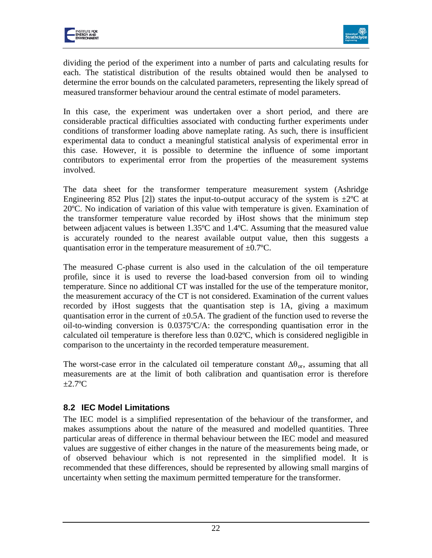



dividing the period of the experiment into a number of parts and calculating results for each. The statistical distribution of the results obtained would then be analysed to determine the error bounds on the calculated parameters, representing the likely spread of measured transformer behaviour around the central estimate of model parameters.

In this case, the experiment was undertaken over a short period, and there are considerable practical difficulties associated with conducting further experiments under conditions of transformer loading above nameplate rating. As such, there is insufficient experimental data to conduct a meaningful statistical analysis of experimental error in this case. However, it is possible to determine the influence of some important contributors to experimental error from the properties of the measurement systems involved.

The data sheet for the transformer temperature measurement system (Ashridge Engineering 852 Plus [2]) states the input-to-output accuracy of the system is  $\pm 2^{\circ}C$  at 20ºC. No indication of variation of this value with temperature is given. Examination of the transformer temperature value recorded by iHost shows that the minimum step between adjacent values is between 1.35ºC and 1.4ºC. Assuming that the measured value is accurately rounded to the nearest available output value, then this suggests a quantisation error in the temperature measurement of  $\pm 0.7$ °C.

The measured C-phase current is also used in the calculation of the oil temperature profile, since it is used to reverse the load-based conversion from oil to winding temperature. Since no additional CT was installed for the use of the temperature monitor, the measurement accuracy of the CT is not considered. Examination of the current values recorded by iHost suggests that the quantisation step is 1A, giving a maximum quantisation error in the current of  $\pm 0.5$ A. The gradient of the function used to reverse the oil-to-winding conversion is 0.0375ºC/A: the corresponding quantisation error in the calculated oil temperature is therefore less than 0.02ºC, which is considered negligible in comparison to the uncertainty in the recorded temperature measurement.

The worst-case error in the calculated oil temperature constant  $\Delta\theta_{\rm or}$ , assuming that all measurements are at the limit of both calibration and quantisation error is therefore  $\pm 2.7$ <sup>o</sup>C

### **8.2 IEC Model Limitations**

The IEC model is a simplified representation of the behaviour of the transformer, and makes assumptions about the nature of the measured and modelled quantities. Three particular areas of difference in thermal behaviour between the IEC model and measured values are suggestive of either changes in the nature of the measurements being made, or of observed behaviour which is not represented in the simplified model. It is recommended that these differences, should be represented by allowing small margins of uncertainty when setting the maximum permitted temperature for the transformer.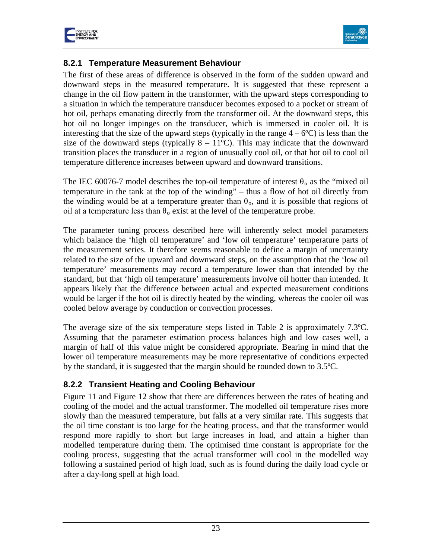



### **8.2.1 Temperature Measurement Behaviour**

The first of these areas of difference is observed in the form of the sudden upward and downward steps in the measured temperature. It is suggested that these represent a change in the oil flow pattern in the transformer, with the upward steps corresponding to a situation in which the temperature transducer becomes exposed to a pocket or stream of hot oil, perhaps emanating directly from the transformer oil. At the downward steps, this hot oil no longer impinges on the transducer, which is immersed in cooler oil. It is interesting that the size of the upward steps (typically in the range  $4 - 6^{\circ}C$ ) is less than the size of the downward steps (typically  $8 - 11^{\circ}$ C). This may indicate that the downward transition places the transducer in a region of unusually cool oil, or that hot oil to cool oil temperature difference increases between upward and downward transitions.

The IEC 60076-7 model describes the top-oil temperature of interest  $\theta_0$  as the "mixed oil temperature in the tank at the top of the winding" – thus a flow of hot oil directly from the winding would be at a temperature greater than  $\theta_0$ , and it is possible that regions of oil at a temperature less than  $\theta_0$  exist at the level of the temperature probe.

The parameter tuning process described here will inherently select model parameters which balance the 'high oil temperature' and 'low oil temperature' temperature parts of the measurement series. It therefore seems reasonable to define a margin of uncertainty related to the size of the upward and downward steps, on the assumption that the 'low oil temperature' measurements may record a temperature lower than that intended by the standard, but that 'high oil temperature' measurements involve oil hotter than intended. It appears likely that the difference between actual and expected measurement conditions would be larger if the hot oil is directly heated by the winding, whereas the cooler oil was cooled below average by conduction or convection processes.

The average size of the six temperature steps listed in [Table 2](#page-10-0) is approximately 7.3ºC. Assuming that the parameter estimation process balances high and low cases well, a margin of half of this value might be considered appropriate. Bearing in mind that the lower oil temperature measurements may be more representative of conditions expected by the standard, it is suggested that the margin should be rounded down to 3.5ºC.

### <span id="page-22-0"></span>**8.2.2 Transient Heating and Cooling Behaviour**

[Figure 11](#page-15-0) and [Figure 12](#page-15-1) show that there are differences between the rates of heating and cooling of the model and the actual transformer. The modelled oil temperature rises more slowly than the measured temperature, but falls at a very similar rate. This suggests that the oil time constant is too large for the heating process, and that the transformer would respond more rapidly to short but large increases in load, and attain a higher than modelled temperature during them. The optimised time constant is appropriate for the cooling process, suggesting that the actual transformer will cool in the modelled way following a sustained period of high load, such as is found during the daily load cycle or after a day-long spell at high load.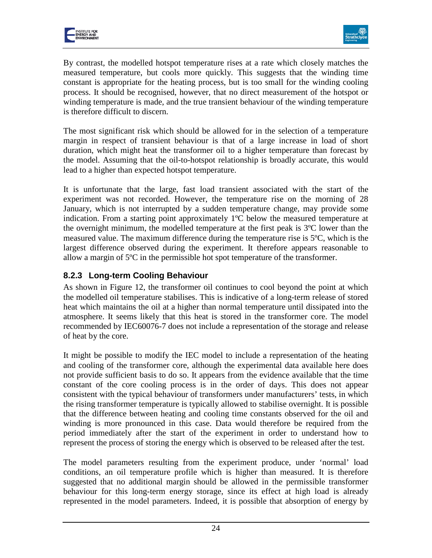



By contrast, the modelled hotspot temperature rises at a rate which closely matches the measured temperature, but cools more quickly. This suggests that the winding time constant is appropriate for the heating process, but is too small for the winding cooling process. It should be recognised, however, that no direct measurement of the hotspot or winding temperature is made, and the true transient behaviour of the winding temperature is therefore difficult to discern.

The most significant risk which should be allowed for in the selection of a temperature margin in respect of transient behaviour is that of a large increase in load of short duration, which might heat the transformer oil to a higher temperature than forecast by the model. Assuming that the oil-to-hotspot relationship is broadly accurate, this would lead to a higher than expected hotspot temperature.

It is unfortunate that the large, fast load transient associated with the start of the experiment was not recorded. However, the temperature rise on the morning of 28 January, which is not interrupted by a sudden temperature change, may provide some indication. From a starting point approximately 1ºC below the measured temperature at the overnight minimum, the modelled temperature at the first peak is 3ºC lower than the measured value. The maximum difference during the temperature rise is  $5^{\circ}C$ , which is the largest difference observed during the experiment. It therefore appears reasonable to allow a margin of 5ºC in the permissible hot spot temperature of the transformer.

### <span id="page-23-0"></span>**8.2.3 Long-term Cooling Behaviour**

As shown in [Figure 12,](#page-15-1) the transformer oil continues to cool beyond the point at which the modelled oil temperature stabilises. This is indicative of a long-term release of stored heat which maintains the oil at a higher than normal temperature until dissipated into the atmosphere. It seems likely that this heat is stored in the transformer core. The model recommended by IEC60076-7 does not include a representation of the storage and release of heat by the core.

It might be possible to modify the IEC model to include a representation of the heating and cooling of the transformer core, although the experimental data available here does not provide sufficient basis to do so. It appears from the evidence available that the time constant of the core cooling process is in the order of days. This does not appear consistent with the typical behaviour of transformers under manufacturers' tests, in which the rising transformer temperature is typically allowed to stabilise overnight. It is possible that the difference between heating and cooling time constants observed for the oil and winding is more pronounced in this case. Data would therefore be required from the period immediately after the start of the experiment in order to understand how to represent the process of storing the energy which is observed to be released after the test.

The model parameters resulting from the experiment produce, under 'normal' load conditions, an oil temperature profile which is higher than measured. It is therefore suggested that no additional margin should be allowed in the permissible transformer behaviour for this long-term energy storage, since its effect at high load is already represented in the model parameters. Indeed, it is possible that absorption of energy by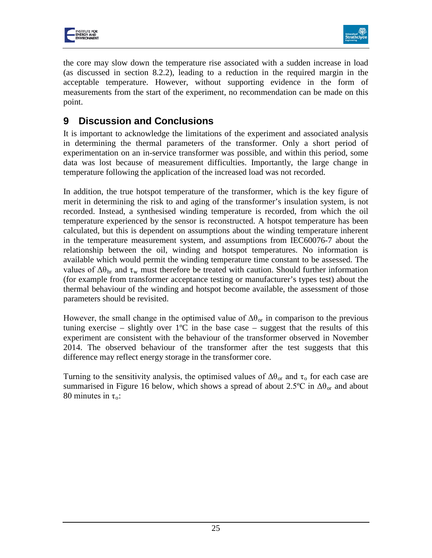



the core may slow down the temperature rise associated with a sudden increase in load (as discussed in section [8.2.2\)](#page-22-0), leading to a reduction in the required margin in the acceptable temperature. However, without supporting evidence in the form of measurements from the start of the experiment, no recommendation can be made on this point.

# **9 Discussion and Conclusions**

It is important to acknowledge the limitations of the experiment and associated analysis in determining the thermal parameters of the transformer. Only a short period of experimentation on an in-service transformer was possible, and within this period, some data was lost because of measurement difficulties. Importantly, the large change in temperature following the application of the increased load was not recorded.

In addition, the true hotspot temperature of the transformer, which is the key figure of merit in determining the risk to and aging of the transformer's insulation system, is not recorded. Instead, a synthesised winding temperature is recorded, from which the oil temperature experienced by the sensor is reconstructed. A hotspot temperature has been calculated, but this is dependent on assumptions about the winding temperature inherent in the temperature measurement system, and assumptions from IEC60076-7 about the relationship between the oil, winding and hotspot temperatures. No information is available which would permit the winding temperature time constant to be assessed. The values of  $\Delta\theta_{\rm hr}$  and  $\tau_{\rm w}$  must therefore be treated with caution. Should further information (for example from transformer acceptance testing or manufacturer's types test) about the thermal behaviour of the winding and hotspot become available, the assessment of those parameters should be revisited.

However, the small change in the optimised value of  $\Delta\theta_{\text{or}}$  in comparison to the previous tuning exercise – slightly over  $1^{\circ}C$  in the base case – suggest that the results of this experiment are consistent with the behaviour of the transformer observed in November 2014. The observed behaviour of the transformer after the test suggests that this difference may reflect energy storage in the transformer core.

Turning to the sensitivity analysis, the optimised values of  $\Delta\theta_{\text{or}}$  and  $\tau_{\text{o}}$  for each case are summarised in Figure 16 below, which shows a spread of about 2.5°C in  $\Delta\theta_{\rm or}$  and about 80 minutes in  $\tau_0$ :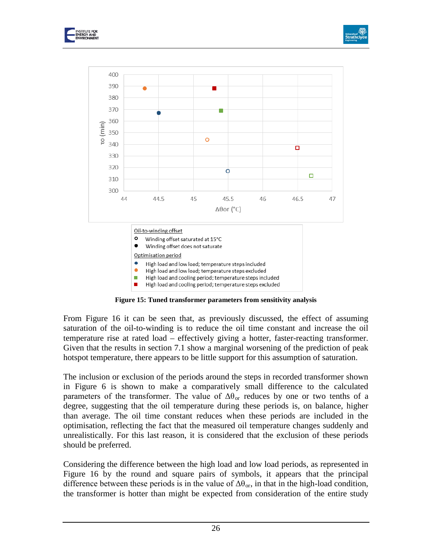





**Figure 15: Tuned transformer parameters from sensitivity analysis**

From Figure 16 it can be seen that, as previously discussed, the effect of assuming saturation of the oil-to-winding is to reduce the oil time constant and increase the oil temperature rise at rated load – effectively giving a hotter, faster-reacting transformer. Given that the results in section 7.1 show a marginal worsening of the prediction of peak hotspot temperature, there appears to be little support for this assumption of saturation.

The inclusion or exclusion of the periods around the steps in recorded transformer shown in Figure 6 is shown to make a comparatively small difference to the calculated parameters of the transformer. The value of  $\Delta\theta_{\rm or}$  reduces by one or two tenths of a degree, suggesting that the oil temperature during these periods is, on balance, higher than average. The oil time constant reduces when these periods are included in the optimisation, reflecting the fact that the measured oil temperature changes suddenly and unrealistically. For this last reason, it is considered that the exclusion of these periods should be preferred.

Considering the difference between the high load and low load periods, as represented in Figure 16 by the round and square pairs of symbols, it appears that the principal difference between these periods is in the value of  $\Delta\theta_{\text{or}}$ , in that in the high-load condition, the transformer is hotter than might be expected from consideration of the entire study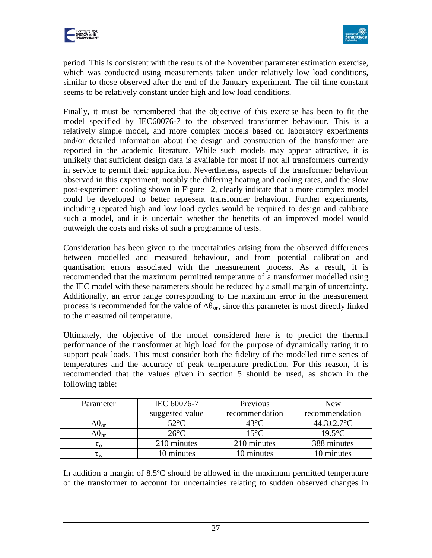



period. This is consistent with the results of the November parameter estimation exercise, which was conducted using measurements taken under relatively low load conditions, similar to those observed after the end of the January experiment. The oil time constant seems to be relatively constant under high and low load conditions.

Finally, it must be remembered that the objective of this exercise has been to fit the model specified by IEC60076-7 to the observed transformer behaviour. This is a relatively simple model, and more complex models based on laboratory experiments and/or detailed information about the design and construction of the transformer are reported in the academic literature. While such models may appear attractive, it is unlikely that sufficient design data is available for most if not all transformers currently in service to permit their application. Nevertheless, aspects of the transformer behaviour observed in this experiment, notably the differing heating and cooling rates, and the slow post-experiment cooling shown in [Figure 12,](#page-15-1) clearly indicate that a more complex model could be developed to better represent transformer behaviour. Further experiments, including repeated high and low load cycles would be required to design and calibrate such a model, and it is uncertain whether the benefits of an improved model would outweigh the costs and risks of such a programme of tests.

Consideration has been given to the uncertainties arising from the observed differences between modelled and measured behaviour, and from potential calibration and quantisation errors associated with the measurement process. As a result, it is recommended that the maximum permitted temperature of a transformer modelled using the IEC model with these parameters should be reduced by a small margin of uncertainty. Additionally, an error range corresponding to the maximum error in the measurement process is recommended for the value of  $\Delta\theta_{\rm or}$ , since this parameter is most directly linked to the measured oil temperature.

Ultimately, the objective of the model considered here is to predict the thermal performance of the transformer at high load for the purpose of dynamically rating it to support peak loads. This must consider both the fidelity of the modelled time series of temperatures and the accuracy of peak temperature prediction. For this reason, it is recommended that the values given in section [5](#page-12-1) should be used, as shown in the following table:

| Parameter                  | IEC 60076-7     | Previous       | <b>New</b>        |
|----------------------------|-----------------|----------------|-------------------|
|                            | suggested value | recommendation | recommendation    |
| $\Delta\theta_{\text{or}}$ | $52^{\circ}$ C  | $43^{\circ}$ C | $44.3 \pm 2.7$ °C |
| $\Delta\theta_{\rm hr}$    | $26^{\circ}$ C  | $15^{\circ}$ C | $19.5^{\circ}$ C  |
| $\tau_{\alpha}$            | 210 minutes     | 210 minutes    | 388 minutes       |
| $\tau_{\mathrm{w}}$        | 10 minutes      | 10 minutes     | 0 minutes         |

In addition a margin of 8.5ºC should be allowed in the maximum permitted temperature of the transformer to account for uncertainties relating to sudden observed changes in